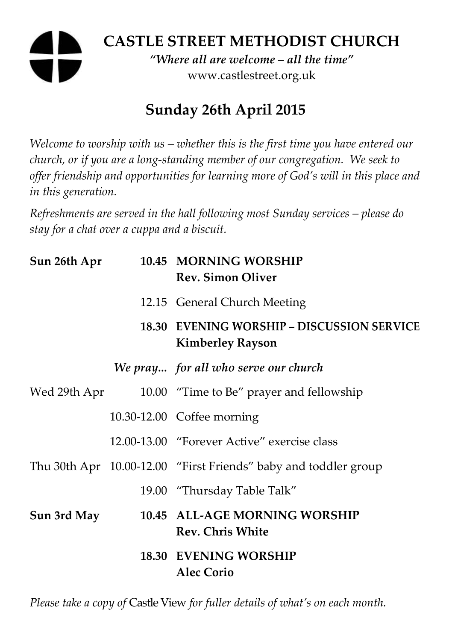# **CASTLE STREET METHODIST CHURCH**

*"Where all are welcome – all the time"*  www.castlestreet.org.uk

# **Sunday 26th April 2015**

*Welcome to worship with us – whether this is the first time you have entered our church, or if you are a long-standing member of our congregation. We seek to offer friendship and opportunities for learning more of God's will in this place and in this generation.* 

*Refreshments are served in the hall following most Sunday services – please do stay for a chat over a cuppa and a biscuit.* 

| Sun 26th Apr | 10.45 MORNING WORSHIP<br><b>Rev. Simon Oliver</b>                            |
|--------------|------------------------------------------------------------------------------|
|              | 12.15 General Church Meeting                                                 |
|              | <b>18.30 EVENING WORSHIP - DISCUSSION SERVICE</b><br><b>Kimberley Rayson</b> |
|              | We pray for all who serve our church                                         |
| Wed 29th Apr | 10.00 "Time to Be" prayer and fellowship                                     |
|              | 10.30-12.00 Coffee morning                                                   |
|              | 12.00-13.00 "Forever Active" exercise class                                  |
|              | Thu 30th Apr 10.00-12.00 "First Friends" baby and toddler group              |
|              | 19.00 "Thursday Table Talk"                                                  |
| Sun 3rd May  | 10.45 ALL-AGE MORNING WORSHIP<br><b>Rev. Chris White</b>                     |
|              | 18.30 EVENING WORSHIP<br><b>Alec Corio</b>                                   |

*Please take a copy of* Castle View *for fuller details of what's on each month.*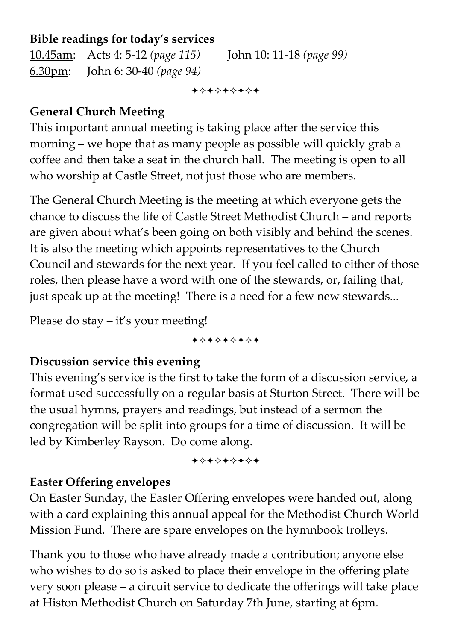#### **Bible readings for today's services**

10.45am: Acts 4: 5-12 *(page 115)* John 10: 11-18 *(page 99)*  6.30pm: John 6: 30-40 *(page 94)* 

+\*\*\*\*\*\*\*

# **General Church Meeting**

This important annual meeting is taking place after the service this morning – we hope that as many people as possible will quickly grab a coffee and then take a seat in the church hall. The meeting is open to all who worship at Castle Street, not just those who are members.

The General Church Meeting is the meeting at which everyone gets the chance to discuss the life of Castle Street Methodist Church – and reports are given about what's been going on both visibly and behind the scenes. It is also the meeting which appoints representatives to the Church Council and stewards for the next year. If you feel called to either of those roles, then please have a word with one of the stewards, or, failing that, just speak up at the meeting! There is a need for a few new stewards...

Please do stay – it's your meeting!

+\*\*\*\*\*\*\*

#### **Discussion service this evening**

This evening's service is the first to take the form of a discussion service, a format used successfully on a regular basis at Sturton Street. There will be the usual hymns, prayers and readings, but instead of a sermon the congregation will be split into groups for a time of discussion. It will be led by Kimberley Rayson. Do come along.

+\*+\*\*\*\*\*

### **Easter Offering envelopes**

On Easter Sunday, the Easter Offering envelopes were handed out, along with a card explaining this annual appeal for the Methodist Church World Mission Fund. There are spare envelopes on the hymnbook trolleys.

Thank you to those who have already made a contribution; anyone else who wishes to do so is asked to place their envelope in the offering plate very soon please – a circuit service to dedicate the offerings will take place at Histon Methodist Church on Saturday 7th June, starting at 6pm.